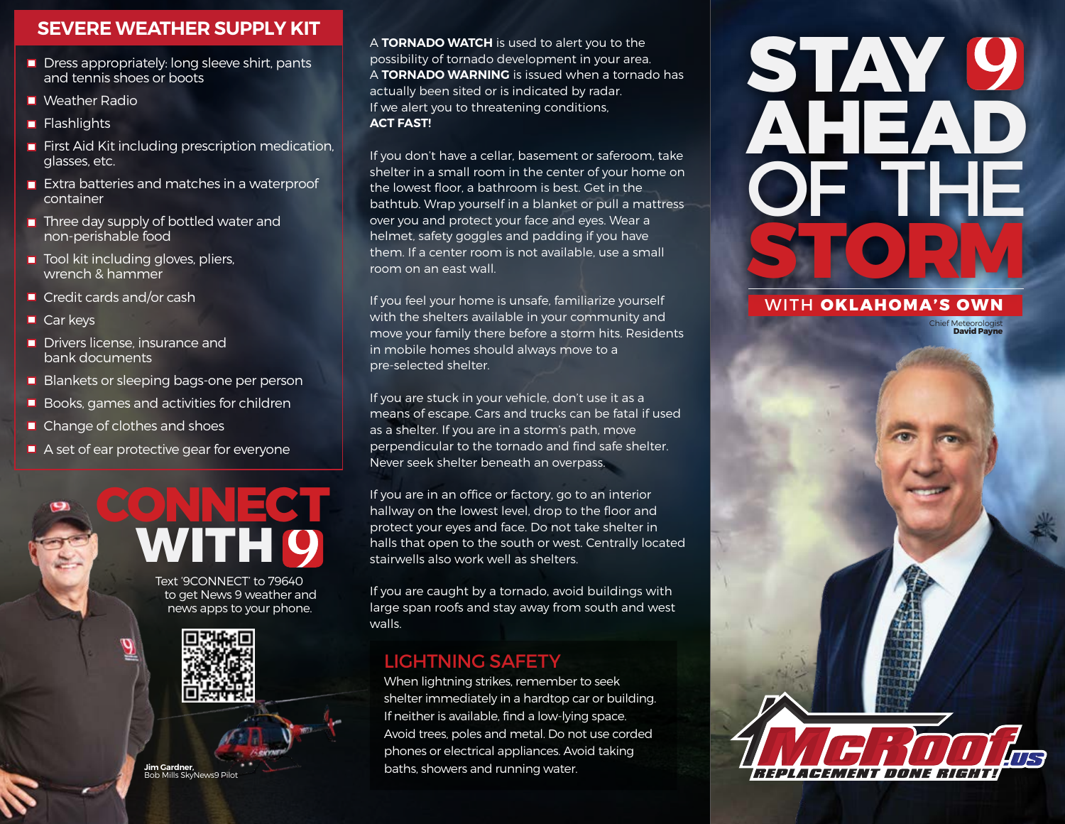### SEVERE WEATHER SUPPLY KIT

- $\blacksquare$  Dress appropriately: long sleeve shirt, pants and tennis shoes or boots
- $\blacksquare$  Weather Radio
- $\blacksquare$  Flashlights
- **First Aid Kit including prescription medication,** glasses, etc.
- **Extra batteries and matches in a waterproof** container
- **•** Three day supply of bottled water and non-perishable food
- **Tool kit including gloves, pliers,** wrench & hammer
- Credit cards and/or cash
- $\blacksquare$  Car keys
- **Drivers license, insurance and** bank documents
- **Blankets or sleeping bags-one per person**
- **Books, games and activities for children**
- Change of clothes and shoes
- A set of ear protective gear for everyone

CONNECT<br>WITH 9 Text '9CONNECT' to 79640 to get News 9 weather and news apps to your phone.



Jim Gardner, Bob Mills SkyNews9 Pilot A TORNADO WATCH is used to alert you to the possibility of tornado development in your area. A TORNADO WARNING is issued when a tornado has actually been sited or is indicated by radar. If we alert you to threatening conditions, ACT FAST!

If you don't have a cellar, basement or saferoom, take shelter in a small room in the center of your home on the lowest floor, a bathroom is best. Get in the bathtub. Wrap yourself in a blanket or pull a mattress over you and protect your face and eyes. Wear a helmet, safety goggles and padding if you have them. If a center room is not available, use a small room on an east wall.

If you feel your home is unsafe, familiarize yourself with the shelters available in your community and move your family there before a storm hits. Residents in mobile homes should always move to a pre-selected shelter.

If you are stuck in your vehicle, don't use it as a means of escape. Cars and trucks can be fatal if used as a shelter. If you are in a storm's path, move perpendicular to the tornado and find safe shelter. Never seek shelter beneath an overpass.

If you are in an office or factory, go to an interior hallway on the lowest level, drop to the floor and protect your eyes and face. Do not take shelter in halls that open to the south or west. Centrally located stairwells also work well as shelters.

If you are caught by a tornado, avoid buildings with large span roofs and stay away from south and west walls.

### LIGHTNING SAFETY

When lightning strikes, remember to seek shelter immediately in a hardtop car or building. If neither is available, find a low-lying space. Avoid trees, poles and metal. Do not use corded phones or electrical appliances. Avoid taking baths, showers and running water.

## STAY 9 AHEAD OF THE STORM

#### WITH OKLAHOMA'S OWN

Replacement Done Right

Chief Meteorologist David Payne